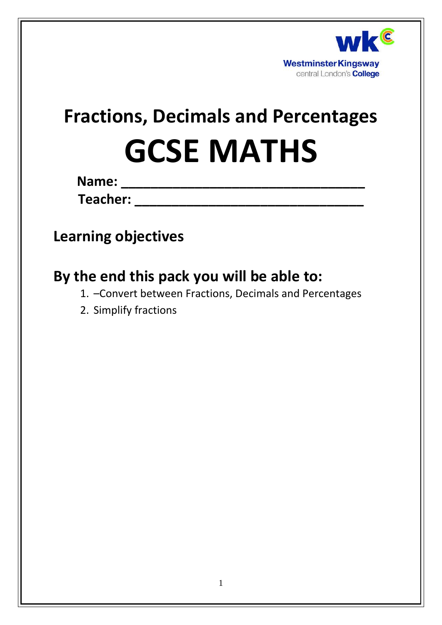

# **Fractions, Decimals and Percentages GCSE MATHS**

**Name: \_\_\_\_\_\_\_\_\_\_\_\_\_\_\_\_\_\_\_\_\_\_\_\_\_\_\_\_\_\_\_\_\_**

**Teacher: \_\_\_\_\_\_\_\_\_\_\_\_\_\_\_\_\_\_\_\_\_\_\_\_\_\_\_\_\_\_\_**

# **Learning objectives**

# **By the end this pack you will be able to:**

- 1. –Convert between Fractions, Decimals and Percentages
- 2. Simplify fractions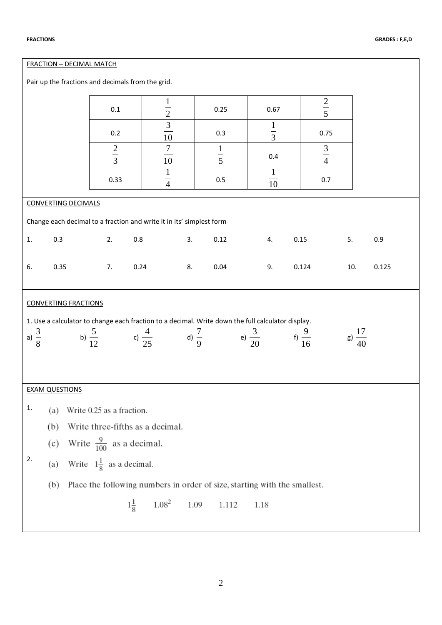| <b>FRACTION - DECIMAL MATCH</b>                      |                                                                                                   |                                                               |                              |                |                  |                                                                           |                   |             |                    |  |  |
|------------------------------------------------------|---------------------------------------------------------------------------------------------------|---------------------------------------------------------------|------------------------------|----------------|------------------|---------------------------------------------------------------------------|-------------------|-------------|--------------------|--|--|
| Pair up the fractions and decimals from the grid.    |                                                                                                   |                                                               |                              |                |                  |                                                                           |                   |             |                    |  |  |
| $\frac{2}{5}$<br>$\mathbf{1}$<br>0.25<br>0.67<br>0.1 |                                                                                                   |                                                               |                              |                |                  |                                                                           |                   |             |                    |  |  |
|                                                      | $\frac{2}{3}$ $\frac{3}{10}$<br>$\mathbf{1}$<br>$\frac{1}{3}$<br>0.75<br>0.2<br>0.3               |                                                               |                              |                |                  |                                                                           |                   |             |                    |  |  |
|                                                      |                                                                                                   | $rac{2}{3}$                                                   |                              | $\frac{7}{10}$ | $\frac{1}{5}$    | 0.4                                                                       |                   | $rac{3}{4}$ |                    |  |  |
|                                                      |                                                                                                   | 0.33                                                          |                              | $\frac{1}{4}$  | 0.5              | $\mathbf{1}$<br>10                                                        |                   | 0.7         |                    |  |  |
|                                                      | <b>CONVERTING DECIMALS</b>                                                                        |                                                               |                              |                |                  |                                                                           |                   |             |                    |  |  |
|                                                      | Change each decimal to a fraction and write it in its' simplest form                              |                                                               |                              |                |                  |                                                                           |                   |             |                    |  |  |
| 1.                                                   | 0.3<br>0.12<br>2.<br>0.8<br>3.<br>0.15<br>5.<br>0.9<br>4.                                         |                                                               |                              |                |                  |                                                                           |                   |             |                    |  |  |
| 6.                                                   | 0.35<br>0.24<br>0.04<br>0.124<br>0.125<br>7.<br>8.<br>9.<br>10.                                   |                                                               |                              |                |                  |                                                                           |                   |             |                    |  |  |
|                                                      | <b>CONVERTING FRACTIONS</b>                                                                       |                                                               |                              |                |                  |                                                                           |                   |             |                    |  |  |
|                                                      | 1. Use a calculator to change each fraction to a decimal. Write down the full calculator display. |                                                               |                              |                |                  |                                                                           |                   |             |                    |  |  |
| a) $\frac{3}{8}$                                     |                                                                                                   | b) $\frac{5}{12}$                                             | c) $\frac{4}{25}$            |                | d) $\frac{7}{9}$ | e) $\frac{3}{20}$                                                         | f) $\frac{9}{16}$ |             | g) $\frac{17}{40}$ |  |  |
|                                                      |                                                                                                   |                                                               |                              |                |                  |                                                                           |                   |             |                    |  |  |
|                                                      | <b>EXAM QUESTIONS</b>                                                                             |                                                               |                              |                |                  |                                                                           |                   |             |                    |  |  |
| 1.                                                   |                                                                                                   |                                                               |                              |                |                  |                                                                           |                   |             |                    |  |  |
|                                                      | (a)<br>(b)                                                                                        | Write 0.25 as a fraction.<br>Write three-fifths as a decimal. |                              |                |                  |                                                                           |                   |             |                    |  |  |
|                                                      |                                                                                                   |                                                               |                              |                |                  |                                                                           |                   |             |                    |  |  |
| Write $\frac{9}{100}$ as a decimal.<br>(c)<br>2.     |                                                                                                   |                                                               |                              |                |                  |                                                                           |                   |             |                    |  |  |
|                                                      | (a)                                                                                               | Write $1\frac{1}{8}$ as a decimal.                            |                              |                |                  |                                                                           |                   |             |                    |  |  |
|                                                      | (b)                                                                                               |                                                               |                              |                |                  | Place the following numbers in order of size, starting with the smallest. |                   |             |                    |  |  |
|                                                      |                                                                                                   |                                                               | $1.08^{2}$<br>$1\frac{1}{8}$ | 1.09           | 1.112            | 1.18                                                                      |                   |             |                    |  |  |
|                                                      |                                                                                                   |                                                               |                              |                |                  |                                                                           |                   |             |                    |  |  |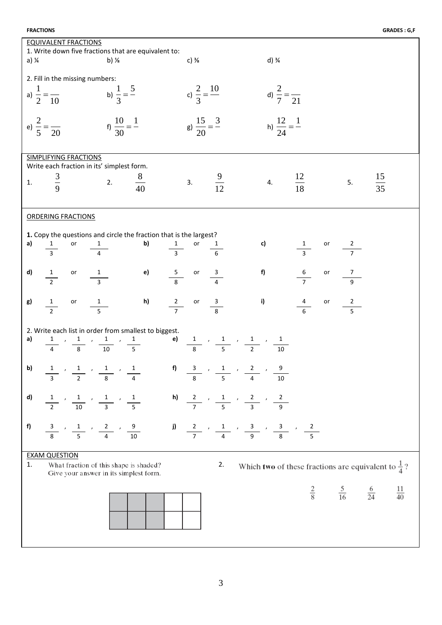| <b>FRACTIONS</b> |  |
|------------------|--|
|------------------|--|

| <b>EQUIVALENT FRACTIONS</b>                                                                                                                        |                                                                         |                                          |                                                                       |  |  |  |  |  |  |  |  |  |
|----------------------------------------------------------------------------------------------------------------------------------------------------|-------------------------------------------------------------------------|------------------------------------------|-----------------------------------------------------------------------|--|--|--|--|--|--|--|--|--|
| 1. Write down five fractions that are equivalent to:                                                                                               |                                                                         |                                          |                                                                       |  |  |  |  |  |  |  |  |  |
| a) $\frac{1}{4}$<br>b) $\frac{1}{8}$                                                                                                               | $c) \frac{3}{8}$                                                        |                                          | d) $\frac{3}{4}$                                                      |  |  |  |  |  |  |  |  |  |
| 2. Fill in the missing numbers:                                                                                                                    |                                                                         |                                          |                                                                       |  |  |  |  |  |  |  |  |  |
| a) $\frac{1}{2} = \frac{1}{10}$ b) $\frac{1}{3} = \frac{5}{10}$<br>c) $\frac{2}{3} = \frac{10}{3}$                                                 |                                                                         |                                          |                                                                       |  |  |  |  |  |  |  |  |  |
|                                                                                                                                                    |                                                                         | d) $\frac{2}{7} = \frac{1}{21}$          |                                                                       |  |  |  |  |  |  |  |  |  |
|                                                                                                                                                    |                                                                         |                                          |                                                                       |  |  |  |  |  |  |  |  |  |
|                                                                                                                                                    |                                                                         |                                          |                                                                       |  |  |  |  |  |  |  |  |  |
| e) $\frac{2}{5} = \frac{2}{20}$<br>f) $\frac{10}{30} = \frac{1}{1}$                                                                                | g) $\frac{15}{20} = \frac{3}{4}$                                        | h) $\frac{12}{24} = \frac{1}{2}$         |                                                                       |  |  |  |  |  |  |  |  |  |
|                                                                                                                                                    |                                                                         |                                          |                                                                       |  |  |  |  |  |  |  |  |  |
| <b>SIMPLIFYING FRACTIONS</b>                                                                                                                       |                                                                         |                                          |                                                                       |  |  |  |  |  |  |  |  |  |
| Write each fraction in its' simplest form.                                                                                                         |                                                                         |                                          |                                                                       |  |  |  |  |  |  |  |  |  |
| Its surf $\frac{8}{40}$                                                                                                                            |                                                                         |                                          |                                                                       |  |  |  |  |  |  |  |  |  |
| $rac{3}{9}$<br>1.                                                                                                                                  |                                                                         | 3. $\frac{9}{12}$ 4. $\frac{12}{18}$     | $\frac{15}{35}$<br>5.                                                 |  |  |  |  |  |  |  |  |  |
|                                                                                                                                                    |                                                                         |                                          |                                                                       |  |  |  |  |  |  |  |  |  |
|                                                                                                                                                    |                                                                         |                                          |                                                                       |  |  |  |  |  |  |  |  |  |
| <b>ORDERING FRACTIONS</b>                                                                                                                          |                                                                         |                                          |                                                                       |  |  |  |  |  |  |  |  |  |
|                                                                                                                                                    |                                                                         |                                          |                                                                       |  |  |  |  |  |  |  |  |  |
| 1. Copy the questions and circle the fraction that is the largest?<br>a)                                                                           |                                                                         |                                          |                                                                       |  |  |  |  |  |  |  |  |  |
| <b>b)</b> $\frac{1}{3}$ or $\frac{1}{6}$<br>$\overline{3}$                                                                                         |                                                                         | <b>c)</b> $\frac{1}{3}$ or $\frac{2}{7}$ |                                                                       |  |  |  |  |  |  |  |  |  |
|                                                                                                                                                    |                                                                         |                                          |                                                                       |  |  |  |  |  |  |  |  |  |
| d)                                                                                                                                                 |                                                                         | f)                                       | or<br>7                                                               |  |  |  |  |  |  |  |  |  |
| or $\frac{1}{3}$<br>$\frac{1}{2}$                                                                                                                  | <b>e)</b> $\frac{5}{8}$ or $\frac{3}{4}$                                | $\frac{6}{7}$                            |                                                                       |  |  |  |  |  |  |  |  |  |
|                                                                                                                                                    |                                                                         |                                          |                                                                       |  |  |  |  |  |  |  |  |  |
| g)<br>or $\frac{1}{5}$<br>$\frac{1}{2}$                                                                                                            | <b>h)</b> $\frac{2}{7}$ or $\frac{3}{8}$                                | i)<br>$\frac{4}{6}$                      | or<br>$\frac{2}{5}$                                                   |  |  |  |  |  |  |  |  |  |
|                                                                                                                                                    |                                                                         |                                          |                                                                       |  |  |  |  |  |  |  |  |  |
|                                                                                                                                                    |                                                                         |                                          |                                                                       |  |  |  |  |  |  |  |  |  |
| 2. Write each list in order from smallest to biggest.<br>a)                                                                                        |                                                                         |                                          |                                                                       |  |  |  |  |  |  |  |  |  |
| $\frac{1}{4}$ , $\frac{1}{8}$ , $\frac{1}{10}$ , $\frac{1}{5}$<br>e) $\frac{1}{8}$ , $\frac{1}{5}$ , $\frac{1}{2}$ , $\frac{1}{10}$                |                                                                         |                                          |                                                                       |  |  |  |  |  |  |  |  |  |
|                                                                                                                                                    |                                                                         |                                          |                                                                       |  |  |  |  |  |  |  |  |  |
| b)                                                                                                                                                 |                                                                         |                                          |                                                                       |  |  |  |  |  |  |  |  |  |
| $\frac{1}{3}$ , $\frac{1}{2}$ , $\frac{1}{8}$ , $\frac{1}{4}$<br>f) $\frac{3}{8}$ , $\frac{1}{5}$ , $\frac{2}{4}$ , $\frac{9}{10}$                 |                                                                         |                                          |                                                                       |  |  |  |  |  |  |  |  |  |
|                                                                                                                                                    |                                                                         |                                          |                                                                       |  |  |  |  |  |  |  |  |  |
| d)<br>$\frac{1}{2}$ , $\frac{1}{10}$ , $\frac{1}{3}$ , $\frac{1}{5}$                                                                               | <b>h)</b> $\frac{2}{7}$ , $\frac{1}{5}$ , $\frac{2}{3}$ , $\frac{2}{9}$ |                                          |                                                                       |  |  |  |  |  |  |  |  |  |
|                                                                                                                                                    |                                                                         |                                          |                                                                       |  |  |  |  |  |  |  |  |  |
|                                                                                                                                                    |                                                                         |                                          |                                                                       |  |  |  |  |  |  |  |  |  |
| f)<br>$\frac{3}{8}$ , $\frac{1}{5}$ , $\frac{2}{4}$ , $\frac{9}{10}$ $\frac{1}{7}$ , $\frac{1}{4}$ , $\frac{3}{9}$ , $\frac{3}{8}$ , $\frac{2}{5}$ |                                                                         |                                          |                                                                       |  |  |  |  |  |  |  |  |  |
|                                                                                                                                                    |                                                                         |                                          |                                                                       |  |  |  |  |  |  |  |  |  |
| <b>EXAM QUESTION</b>                                                                                                                               |                                                                         |                                          |                                                                       |  |  |  |  |  |  |  |  |  |
| 1.<br>What fraction of this shape is shaded?                                                                                                       | 2.                                                                      |                                          |                                                                       |  |  |  |  |  |  |  |  |  |
| Give your answer in its simplest form.                                                                                                             |                                                                         |                                          | Which <b>two</b> of these fractions are equivalent to $\frac{1}{4}$ ? |  |  |  |  |  |  |  |  |  |
|                                                                                                                                                    |                                                                         |                                          |                                                                       |  |  |  |  |  |  |  |  |  |
|                                                                                                                                                    |                                                                         |                                          | $\frac{11}{40}$<br>$\frac{2}{8}$ $\frac{5}{16}$ $\frac{6}{24}$        |  |  |  |  |  |  |  |  |  |
|                                                                                                                                                    |                                                                         |                                          |                                                                       |  |  |  |  |  |  |  |  |  |
|                                                                                                                                                    |                                                                         |                                          |                                                                       |  |  |  |  |  |  |  |  |  |
|                                                                                                                                                    |                                                                         |                                          |                                                                       |  |  |  |  |  |  |  |  |  |
|                                                                                                                                                    |                                                                         |                                          |                                                                       |  |  |  |  |  |  |  |  |  |
|                                                                                                                                                    |                                                                         |                                          |                                                                       |  |  |  |  |  |  |  |  |  |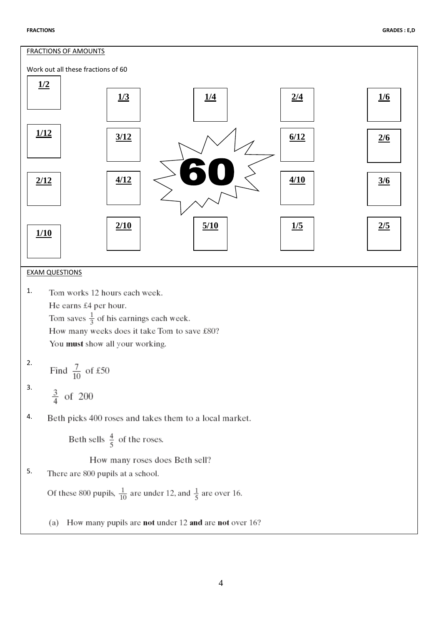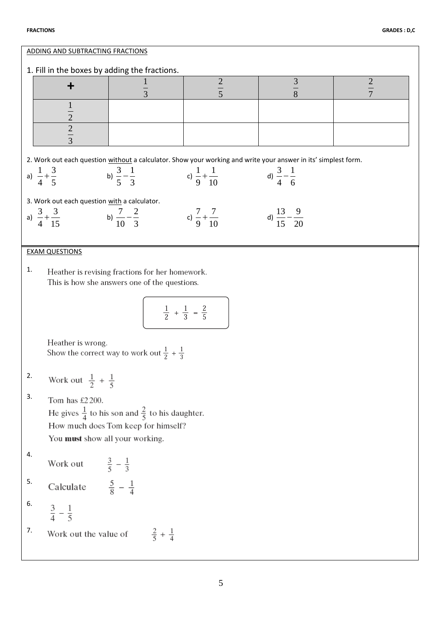| 1. Fill in the boxes by adding the fractions.<br>$\frac{3}{8}$<br>$\frac{2}{5}$<br>$\frac{2}{7}$<br>$\overline{3}$<br>$\mathbf{1}$<br>$\frac{1}{2}$<br>$\frac{2}{3}$<br>2. Work out each question without a calculator. Show your working and write your answer in its' simplest form.<br>a) $\frac{1}{4} + \frac{3}{5}$<br>b) $\frac{3}{5} - \frac{1}{3}$ c) $\frac{1}{9} + \frac{1}{10}$<br>d) $\frac{3}{4} - \frac{1}{6}$<br>3. Work out each question with a calculator.<br>a) $\frac{3}{4} + \frac{3}{15}$ b) $\frac{7}{10} - \frac{2}{3}$ c) $\frac{7}{9} + \frac{7}{10}$ d) $\frac{13}{15} - \frac{9}{20}$ |  |  |  |  |  |  |  |  |  |
|-------------------------------------------------------------------------------------------------------------------------------------------------------------------------------------------------------------------------------------------------------------------------------------------------------------------------------------------------------------------------------------------------------------------------------------------------------------------------------------------------------------------------------------------------------------------------------------------------------------------|--|--|--|--|--|--|--|--|--|
|                                                                                                                                                                                                                                                                                                                                                                                                                                                                                                                                                                                                                   |  |  |  |  |  |  |  |  |  |
|                                                                                                                                                                                                                                                                                                                                                                                                                                                                                                                                                                                                                   |  |  |  |  |  |  |  |  |  |
|                                                                                                                                                                                                                                                                                                                                                                                                                                                                                                                                                                                                                   |  |  |  |  |  |  |  |  |  |
|                                                                                                                                                                                                                                                                                                                                                                                                                                                                                                                                                                                                                   |  |  |  |  |  |  |  |  |  |
|                                                                                                                                                                                                                                                                                                                                                                                                                                                                                                                                                                                                                   |  |  |  |  |  |  |  |  |  |
|                                                                                                                                                                                                                                                                                                                                                                                                                                                                                                                                                                                                                   |  |  |  |  |  |  |  |  |  |
|                                                                                                                                                                                                                                                                                                                                                                                                                                                                                                                                                                                                                   |  |  |  |  |  |  |  |  |  |
|                                                                                                                                                                                                                                                                                                                                                                                                                                                                                                                                                                                                                   |  |  |  |  |  |  |  |  |  |
|                                                                                                                                                                                                                                                                                                                                                                                                                                                                                                                                                                                                                   |  |  |  |  |  |  |  |  |  |
|                                                                                                                                                                                                                                                                                                                                                                                                                                                                                                                                                                                                                   |  |  |  |  |  |  |  |  |  |
|                                                                                                                                                                                                                                                                                                                                                                                                                                                                                                                                                                                                                   |  |  |  |  |  |  |  |  |  |
| <b>EXAM QUESTIONS</b>                                                                                                                                                                                                                                                                                                                                                                                                                                                                                                                                                                                             |  |  |  |  |  |  |  |  |  |
|                                                                                                                                                                                                                                                                                                                                                                                                                                                                                                                                                                                                                   |  |  |  |  |  |  |  |  |  |
| 1.<br>Heather is revising fractions for her homework.<br>This is how she answers one of the questions.                                                                                                                                                                                                                                                                                                                                                                                                                                                                                                            |  |  |  |  |  |  |  |  |  |
|                                                                                                                                                                                                                                                                                                                                                                                                                                                                                                                                                                                                                   |  |  |  |  |  |  |  |  |  |
| $\frac{1}{2} + \frac{1}{3} = \frac{2}{5}$                                                                                                                                                                                                                                                                                                                                                                                                                                                                                                                                                                         |  |  |  |  |  |  |  |  |  |
|                                                                                                                                                                                                                                                                                                                                                                                                                                                                                                                                                                                                                   |  |  |  |  |  |  |  |  |  |
| Heather is wrong.                                                                                                                                                                                                                                                                                                                                                                                                                                                                                                                                                                                                 |  |  |  |  |  |  |  |  |  |
| Show the correct way to work out $\frac{1}{2} + \frac{1}{3}$                                                                                                                                                                                                                                                                                                                                                                                                                                                                                                                                                      |  |  |  |  |  |  |  |  |  |
| 2.                                                                                                                                                                                                                                                                                                                                                                                                                                                                                                                                                                                                                |  |  |  |  |  |  |  |  |  |
| Work out $\frac{1}{2} + \frac{1}{5}$                                                                                                                                                                                                                                                                                                                                                                                                                                                                                                                                                                              |  |  |  |  |  |  |  |  |  |
| 3.<br>Tom has £2200.                                                                                                                                                                                                                                                                                                                                                                                                                                                                                                                                                                                              |  |  |  |  |  |  |  |  |  |
| He gives $\frac{1}{4}$ to his son and $\frac{2}{5}$ to his daughter.                                                                                                                                                                                                                                                                                                                                                                                                                                                                                                                                              |  |  |  |  |  |  |  |  |  |
| How much does Tom keep for himself?<br>You must show all your working.                                                                                                                                                                                                                                                                                                                                                                                                                                                                                                                                            |  |  |  |  |  |  |  |  |  |
| 4.                                                                                                                                                                                                                                                                                                                                                                                                                                                                                                                                                                                                                |  |  |  |  |  |  |  |  |  |
| Work out $\frac{3}{5} - \frac{1}{3}$                                                                                                                                                                                                                                                                                                                                                                                                                                                                                                                                                                              |  |  |  |  |  |  |  |  |  |
| 5.<br>Calculate $\frac{5}{8} - \frac{1}{4}$                                                                                                                                                                                                                                                                                                                                                                                                                                                                                                                                                                       |  |  |  |  |  |  |  |  |  |
|                                                                                                                                                                                                                                                                                                                                                                                                                                                                                                                                                                                                                   |  |  |  |  |  |  |  |  |  |
| 6.<br>$rac{3}{4} - \frac{1}{5}$                                                                                                                                                                                                                                                                                                                                                                                                                                                                                                                                                                                   |  |  |  |  |  |  |  |  |  |
| 7.<br>Work out the value of $\frac{2}{5} + \frac{1}{4}$                                                                                                                                                                                                                                                                                                                                                                                                                                                                                                                                                           |  |  |  |  |  |  |  |  |  |
|                                                                                                                                                                                                                                                                                                                                                                                                                                                                                                                                                                                                                   |  |  |  |  |  |  |  |  |  |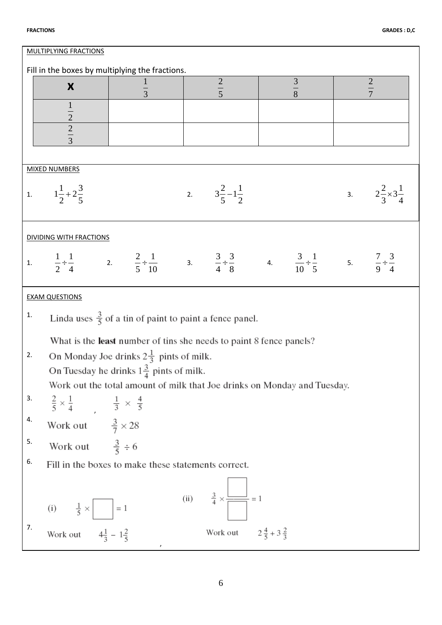| <b>MULTIPLYING FRACTIONS</b>                    |                                                                   |                                                                                                                                                                             |  |                                           |  |  |  |                                       |  |  |  |
|-------------------------------------------------|-------------------------------------------------------------------|-----------------------------------------------------------------------------------------------------------------------------------------------------------------------------|--|-------------------------------------------|--|--|--|---------------------------------------|--|--|--|
| Fill in the boxes by multiplying the fractions. |                                                                   |                                                                                                                                                                             |  |                                           |  |  |  |                                       |  |  |  |
|                                                 | $\frac{3}{8}$<br>$rac{2}{5}$<br>$rac{2}{7}$<br>$\frac{1}{3}$<br>X |                                                                                                                                                                             |  |                                           |  |  |  |                                       |  |  |  |
|                                                 |                                                                   |                                                                                                                                                                             |  |                                           |  |  |  |                                       |  |  |  |
|                                                 |                                                                   |                                                                                                                                                                             |  |                                           |  |  |  |                                       |  |  |  |
|                                                 | $\frac{1}{2}$ $\frac{2}{3}$                                       |                                                                                                                                                                             |  |                                           |  |  |  |                                       |  |  |  |
|                                                 |                                                                   |                                                                                                                                                                             |  |                                           |  |  |  |                                       |  |  |  |
| <b>MIXED NUMBERS</b>                            |                                                                   |                                                                                                                                                                             |  |                                           |  |  |  |                                       |  |  |  |
|                                                 | 1. $1\frac{1}{2}+2\frac{3}{5}$                                    |                                                                                                                                                                             |  | 2. $3\frac{2}{5}-1\frac{1}{2}$            |  |  |  | 3. $2\frac{2}{3} \times 3\frac{1}{4}$ |  |  |  |
| <b>DIVIDING WITH FRACTIONS</b>                  |                                                                   |                                                                                                                                                                             |  |                                           |  |  |  |                                       |  |  |  |
|                                                 |                                                                   | 1. $\frac{1}{2} \div \frac{1}{4}$ 2. $\frac{2}{5} \div \frac{1}{10}$ 3. $\frac{3}{4} \div \frac{3}{8}$ 4. $\frac{3}{10} \div \frac{1}{5}$ 5. $\frac{7}{9} \div \frac{3}{4}$ |  |                                           |  |  |  |                                       |  |  |  |
|                                                 | <b>EXAM QUESTIONS</b>                                             |                                                                                                                                                                             |  |                                           |  |  |  |                                       |  |  |  |
| 1.                                              |                                                                   | Linda uses $\frac{3}{5}$ of a tin of paint to paint a fence panel.                                                                                                          |  |                                           |  |  |  |                                       |  |  |  |
|                                                 |                                                                   | What is the least number of tins she needs to paint 8 fence panels?                                                                                                         |  |                                           |  |  |  |                                       |  |  |  |
| 2.                                              |                                                                   | On Monday Joe drinks $2\frac{1}{3}$ pints of milk.                                                                                                                          |  |                                           |  |  |  |                                       |  |  |  |
|                                                 |                                                                   | On Tuesday he drinks $1\frac{3}{4}$ pints of milk.                                                                                                                          |  |                                           |  |  |  |                                       |  |  |  |
|                                                 |                                                                   | Work out the total amount of milk that Joe drinks on Monday and Tuesday.                                                                                                    |  |                                           |  |  |  |                                       |  |  |  |
| 3.                                              | $\frac{2}{5} \times \frac{1}{4}$ $\frac{1}{3} \times \frac{4}{5}$ |                                                                                                                                                                             |  |                                           |  |  |  |                                       |  |  |  |
| 4.                                              | Work out $\frac{3}{7} \times 28$                                  |                                                                                                                                                                             |  |                                           |  |  |  |                                       |  |  |  |
| 5.                                              | Work out $\frac{3}{5} \div 6$                                     |                                                                                                                                                                             |  |                                           |  |  |  |                                       |  |  |  |
| 6.                                              |                                                                   | Fill in the boxes to make these statements correct.                                                                                                                         |  |                                           |  |  |  |                                       |  |  |  |
|                                                 | (i) $\frac{1}{5} \times$ = 1                                      |                                                                                                                                                                             |  | (ii) $\frac{3}{4} \times \frac{2}{1} = 1$ |  |  |  |                                       |  |  |  |
| 7.                                              | Work out $4\frac{1}{3} - 1\frac{2}{5}$                            |                                                                                                                                                                             |  | Work out $2\frac{4}{5} + 3\frac{2}{3}$    |  |  |  |                                       |  |  |  |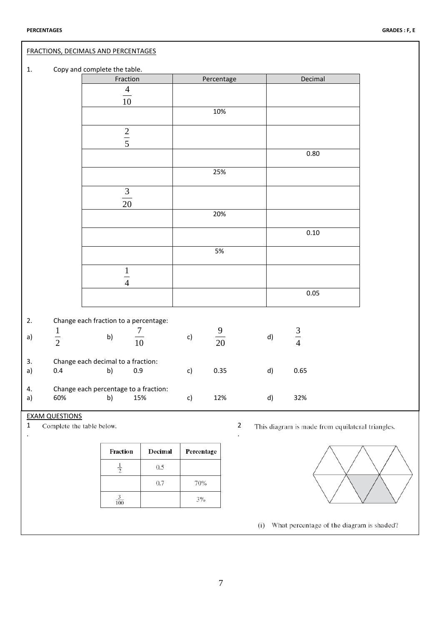|           | FRACTIONS, DECIMALS AND PERCENTAGES                |                                                    |         |            |                |                |    |             |                                                  |  |
|-----------|----------------------------------------------------|----------------------------------------------------|---------|------------|----------------|----------------|----|-------------|--------------------------------------------------|--|
| 1.        |                                                    | Copy and complete the table.                       |         |            |                |                |    |             |                                                  |  |
|           |                                                    | Fraction                                           |         |            | Percentage     |                |    | Decimal     |                                                  |  |
|           |                                                    | $\frac{4}{10}$                                     |         |            |                |                |    |             |                                                  |  |
|           |                                                    |                                                    |         |            |                |                |    |             |                                                  |  |
|           |                                                    |                                                    |         |            | 10%            |                |    |             |                                                  |  |
|           |                                                    | $\frac{2}{5}$                                      |         |            |                |                |    |             |                                                  |  |
|           |                                                    |                                                    |         |            |                |                |    |             |                                                  |  |
|           |                                                    |                                                    |         |            |                |                |    | 0.80        |                                                  |  |
|           |                                                    |                                                    |         |            | 25%            |                |    |             |                                                  |  |
|           |                                                    | $\frac{3}{20}$                                     |         |            |                |                |    |             |                                                  |  |
|           |                                                    |                                                    |         |            |                |                |    |             |                                                  |  |
|           |                                                    |                                                    |         |            | 20%            |                |    |             |                                                  |  |
|           |                                                    |                                                    |         |            |                |                |    | $0.10\,$    |                                                  |  |
|           |                                                    |                                                    |         |            | 5%             |                |    |             |                                                  |  |
|           |                                                    |                                                    |         |            |                |                |    |             |                                                  |  |
|           |                                                    | $\frac{1}{4}$                                      |         |            |                |                |    |             |                                                  |  |
|           |                                                    |                                                    |         |            |                |                |    | $0.05\,$    |                                                  |  |
|           |                                                    |                                                    |         |            |                |                |    |             |                                                  |  |
| 2.        |                                                    | Change each fraction to a percentage:<br>7         |         |            |                |                |    |             |                                                  |  |
| a)        | $\frac{1}{2}$                                      | b)<br>$\frac{1}{10}$                               |         | c)         | $\frac{9}{20}$ |                | d) | $rac{3}{4}$ |                                                  |  |
|           |                                                    |                                                    |         |            |                |                |    |             |                                                  |  |
| 3.<br>a)  | 0.4                                                | Change each decimal to a fraction:<br>0.9<br>b)    |         | c)         | 0.35           |                | d) | 0.65        |                                                  |  |
|           |                                                    |                                                    |         |            |                |                |    |             |                                                  |  |
| 4.<br>a)  | 60%                                                | Change each percentage to a fraction:<br>b)<br>15% |         | c)         | 12%            |                | d) | 32%         |                                                  |  |
|           |                                                    |                                                    |         |            |                |                |    |             |                                                  |  |
| $1\,$     | <b>EXAM QUESTIONS</b><br>Complete the table below. |                                                    |         |            |                | $\overline{2}$ |    |             | This diagram is made from equilateral triangles. |  |
| $\bullet$ |                                                    |                                                    |         |            |                | $\cdot$        |    |             |                                                  |  |
|           |                                                    | Fraction                                           | Decimal | Percentage |                |                |    |             |                                                  |  |
|           |                                                    | $\frac{1}{2}$                                      | 0.5     |            |                |                |    |             |                                                  |  |
|           |                                                    |                                                    | 0.7     | 70%        |                |                |    |             |                                                  |  |
|           |                                                    | $\frac{3}{100}$                                    |         | $3\%$      |                |                |    |             |                                                  |  |
|           |                                                    |                                                    |         |            |                |                |    |             |                                                  |  |

(i) What percentage of the diagram is shaded?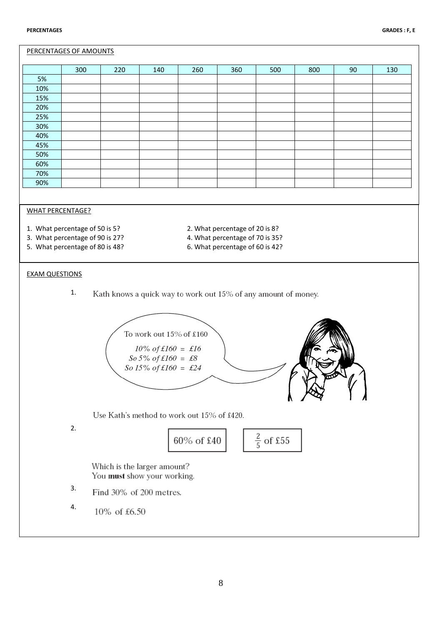## PERCENTAGES OF AMOUNTS

|     | 300 | 220 | 140 | 260 | 360 | 500 | 800 | 90 | 130 |
|-----|-----|-----|-----|-----|-----|-----|-----|----|-----|
| 5%  |     |     |     |     |     |     |     |    |     |
| 10% |     |     |     |     |     |     |     |    |     |
| 15% |     |     |     |     |     |     |     |    |     |
| 20% |     |     |     |     |     |     |     |    |     |
| 25% |     |     |     |     |     |     |     |    |     |
| 30% |     |     |     |     |     |     |     |    |     |
| 40% |     |     |     |     |     |     |     |    |     |
| 45% |     |     |     |     |     |     |     |    |     |
| 50% |     |     |     |     |     |     |     |    |     |
| 60% |     |     |     |     |     |     |     |    |     |
| 70% |     |     |     |     |     |     |     |    |     |
| 90% |     |     |     |     |     |     |     |    |     |

#### WHAT PERCENTAGE?

- 1. What percentage of 50 is 5? 2. What percentage of 20 is 8?
- 3. What percentage of 90 is 27? 4. What percentage of 70 is 35?
- 5. What percentage of 80 is 48? 6. What percentage of 60 is 42?
- 
- -

## EXAM QUESTIONS

1. Kath knows a quick way to work out 15% of any amount of money.



Which is the larger amount? You must show your working.

- 3. Find 30% of 200 metres.
- 4.10% of £6.50